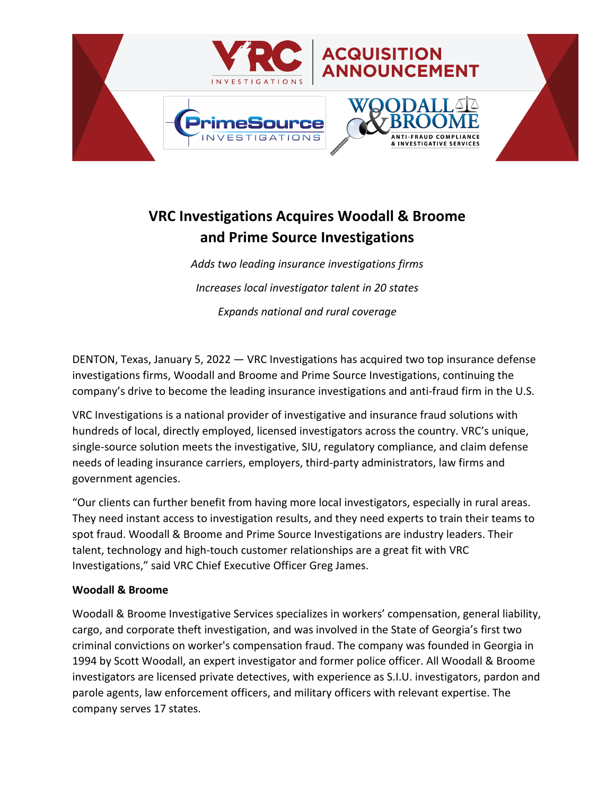

# **VRC Investigations Acquires Woodall & Broome and Prime Source Investigations**

*Adds two leading insurance investigations firms Increases local investigator talent in 20 states Expands national and rural coverage*

DENTON, Texas, January 5, 2022 — VRC Investigations has acquired two top insurance defense investigations firms, Woodall and Broome and Prime Source Investigations, continuing the company's drive to become the leading insurance investigations and anti-fraud firm in the U.S.

VRC Investigations is a national provider of investigative and insurance fraud solutions with hundreds of local, directly employed, licensed investigators across the country. VRC's unique, single-source solution meets the investigative, SIU, regulatory compliance, and claim defense needs of leading insurance carriers, employers, third-party administrators, law firms and government agencies.

"Our clients can further benefit from having more local investigators, especially in rural areas. They need instant access to investigation results, and they need experts to train their teams to spot fraud. Woodall & Broome and Prime Source Investigations are industry leaders. Their talent, technology and high-touch customer relationships are a great fit with VRC Investigations," said VRC Chief Executive Officer Greg James.

## **Woodall & Broome**

Woodall & Broome Investigative Services specializes in workers' compensation, general liability, cargo, and corporate theft investigation, and was involved in the State of Georgia's first two criminal convictions on worker's compensation fraud. The company was founded in Georgia in 1994 by Scott Woodall, an expert investigator and former police officer. All Woodall & Broome investigators are licensed private detectives, with experience as S.I.U. investigators, pardon and parole agents, law enforcement officers, and military officers with relevant expertise. The company serves 17 states.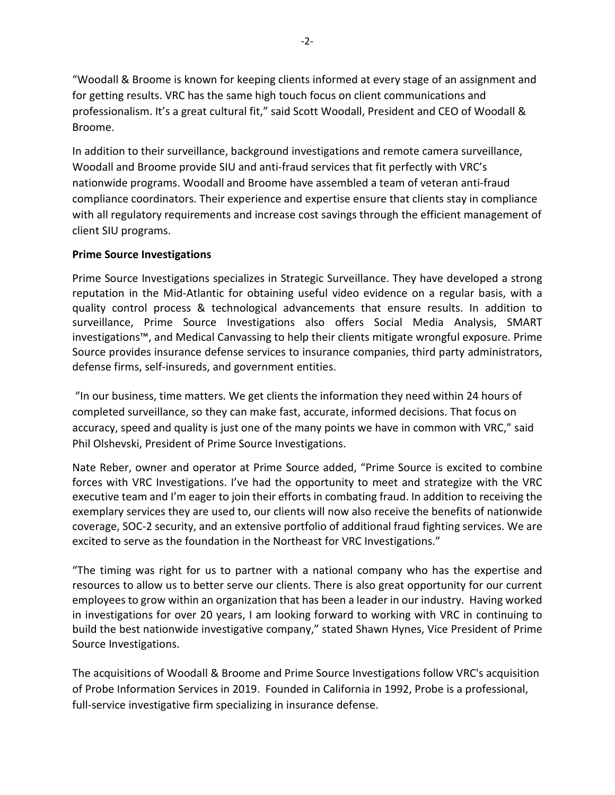"Woodall & Broome is known for keeping clients informed at every stage of an assignment and for getting results. VRC has the same high touch focus on client communications and professionalism. It's a great cultural fit," said Scott Woodall, President and CEO of Woodall & Broome.

In addition to their surveillance, background investigations and remote camera surveillance, Woodall and Broome provide SIU and anti-fraud services that fit perfectly with VRC's nationwide programs. Woodall and Broome have assembled a team of veteran anti-fraud compliance coordinators. Their experience and expertise ensure that clients stay in compliance with all regulatory requirements and increase cost savings through the efficient management of client SIU programs.

### **Prime Source Investigations**

Prime Source Investigations specializes in Strategic Surveillance. They have developed a strong reputation in the Mid-Atlantic for obtaining useful video evidence on a regular basis, with a quality control process & technological advancements that ensure results. In addition to surveillance, Prime Source Investigations also offers Social Media Analysis, SMART investigations™, and Medical Canvassing to help their clients mitigate wrongful exposure. Prime Source provides insurance defense services to insurance companies, third party administrators, defense firms, self-insureds, and government entities.

"In our business, time matters. We get clients the information they need within 24 hours of completed surveillance, so they can make fast, accurate, informed decisions. That focus on accuracy, speed and quality is just one of the many points we have in common with VRC," said Phil Olshevski, President of Prime Source Investigations.

Nate Reber, owner and operator at Prime Source added, "Prime Source is excited to combine forces with VRC Investigations. I've had the opportunity to meet and strategize with the VRC executive team and I'm eager to join their efforts in combating fraud. In addition to receiving the exemplary services they are used to, our clients will now also receive the benefits of nationwide coverage, SOC-2 security, and an extensive portfolio of additional fraud fighting services. We are excited to serve as the foundation in the Northeast for VRC Investigations."

"The timing was right for us to partner with a national company who has the expertise and resources to allow us to better serve our clients. There is also great opportunity for our current employees to grow within an organization that has been a leader in our industry. Having worked in investigations for over 20 years, I am looking forward to working with VRC in continuing to build the best nationwide investigative company," stated Shawn Hynes, Vice President of Prime Source Investigations.

The acquisitions of Woodall & Broome and Prime Source Investigations follow VRC's acquisition of Probe Information Services in 2019. Founded in California in 1992, Probe is a professional, full-service investigative firm specializing in insurance defense.